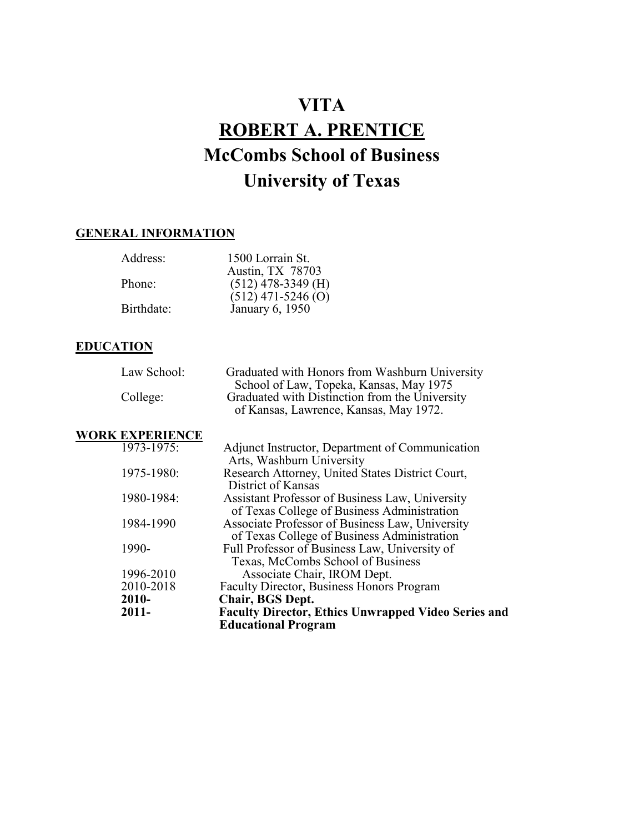# **VITA ROBERT A. PRENTICE McCombs School of Business University of Texas**

# **GENERAL INFORMATION**

| Address:   | 1500 Lorrain St.     |
|------------|----------------------|
|            | Austin, TX 78703     |
| Phone:     | $(512)$ 478-3349 (H) |
|            | $(512)$ 471-5246 (O) |
| Birthdate: | January 6, 1950      |

## **EDUCATION**

| Law School: | Graduated with Honors from Washburn University |
|-------------|------------------------------------------------|
|             | School of Law, Topeka, Kansas, May 1975        |
| College:    | Graduated with Distinction from the University |
|             | of Kansas, Lawrence, Kansas, May 1972.         |
|             |                                                |

# **WORK EXPERIENCE**

| 1973-1975: | Adjunct Instructor, Department of Communication            |
|------------|------------------------------------------------------------|
|            | Arts, Washburn University                                  |
| 1975-1980: | Research Attorney, United States District Court,           |
|            | District of Kansas                                         |
| 1980-1984: | Assistant Professor of Business Law, University            |
|            | of Texas College of Business Administration                |
| 1984-1990  | Associate Professor of Business Law, University            |
|            | of Texas College of Business Administration                |
| 1990-      | Full Professor of Business Law, University of              |
|            | Texas, McCombs School of Business                          |
| 1996-2010  | Associate Chair, IROM Dept.                                |
| 2010-2018  | Faculty Director, Business Honors Program                  |
| $2010 -$   | <b>Chair, BGS Dept.</b>                                    |
| 2011-      | <b>Faculty Director, Ethics Unwrapped Video Series and</b> |
|            | <b>Educational Program</b>                                 |
|            |                                                            |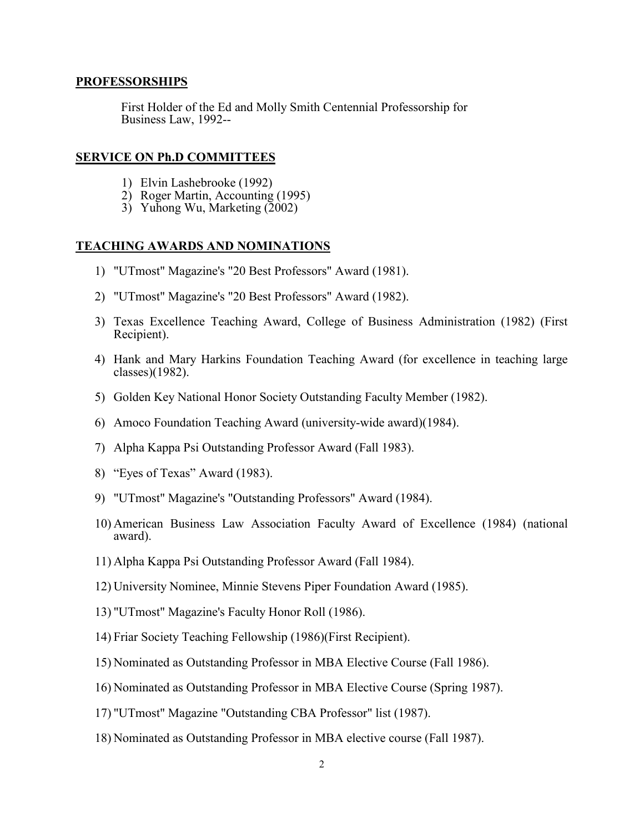#### **PROFESSORSHIPS**

First Holder of the Ed and Molly Smith Centennial Professorship for Business Law, 1992--

#### **SERVICE ON Ph.D COMMITTEES**

- 1) Elvin Lashebrooke (1992)
- 2) Roger Martin, Accounting (1995)
- 3) Yuhong Wu, Marketing (2002)

#### **TEACHING AWARDS AND NOMINATIONS**

- 1) "UTmost" Magazine's "20 Best Professors" Award (1981).
- 2) "UTmost" Magazine's "20 Best Professors" Award (1982).
- 3) Texas Excellence Teaching Award, College of Business Administration (1982) (First Recipient).
- 4) Hank and Mary Harkins Foundation Teaching Award (for excellence in teaching large classes)(1982).
- 5) Golden Key National Honor Society Outstanding Faculty Member (1982).
- 6) Amoco Foundation Teaching Award (university-wide award)(1984).
- 7) Alpha Kappa Psi Outstanding Professor Award (Fall 1983).
- 8) "Eyes of Texas" Award (1983).
- 9) "UTmost" Magazine's "Outstanding Professors" Award (1984).
- 10) American Business Law Association Faculty Award of Excellence (1984) (national award).
- 11) Alpha Kappa Psi Outstanding Professor Award (Fall 1984).
- 12) University Nominee, Minnie Stevens Piper Foundation Award (1985).
- 13) "UTmost" Magazine's Faculty Honor Roll (1986).
- 14) Friar Society Teaching Fellowship (1986)(First Recipient).
- 15) Nominated as Outstanding Professor in MBA Elective Course (Fall 1986).
- 16) Nominated as Outstanding Professor in MBA Elective Course (Spring 1987).
- 17) "UTmost" Magazine "Outstanding CBA Professor" list (1987).
- 18) Nominated as Outstanding Professor in MBA elective course (Fall 1987).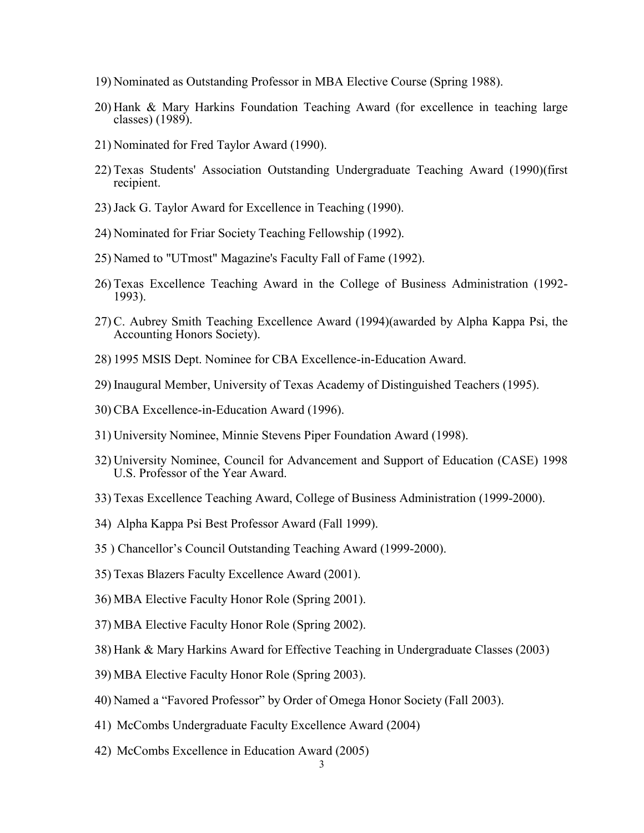- 19) Nominated as Outstanding Professor in MBA Elective Course (Spring 1988).
- 20) Hank & Mary Harkins Foundation Teaching Award (for excellence in teaching large classes) (1989).
- 21) Nominated for Fred Taylor Award (1990).
- 22) Texas Students' Association Outstanding Undergraduate Teaching Award (1990)(first recipient.
- 23)Jack G. Taylor Award for Excellence in Teaching (1990).
- 24) Nominated for Friar Society Teaching Fellowship (1992).
- 25) Named to "UTmost" Magazine's Faculty Fall of Fame (1992).
- 26) Texas Excellence Teaching Award in the College of Business Administration (1992- 1993).
- 27)C. Aubrey Smith Teaching Excellence Award (1994)(awarded by Alpha Kappa Psi, the Accounting Honors Society).
- 28) 1995 MSIS Dept. Nominee for CBA Excellence-in-Education Award.
- 29) Inaugural Member, University of Texas Academy of Distinguished Teachers (1995).
- 30)CBA Excellence-in-Education Award (1996).
- 31) University Nominee, Minnie Stevens Piper Foundation Award (1998).
- 32) University Nominee, Council for Advancement and Support of Education (CASE) 1998 U.S. Professor of the Year Award.
- 33) Texas Excellence Teaching Award, College of Business Administration (1999-2000).
- 34) Alpha Kappa Psi Best Professor Award (Fall 1999).
- 35 ) Chancellor's Council Outstanding Teaching Award (1999-2000).
- 35) Texas Blazers Faculty Excellence Award (2001).
- 36) MBA Elective Faculty Honor Role (Spring 2001).
- 37) MBA Elective Faculty Honor Role (Spring 2002).
- 38) Hank & Mary Harkins Award for Effective Teaching in Undergraduate Classes (2003)
- 39) MBA Elective Faculty Honor Role (Spring 2003).
- 40) Named a "Favored Professor" by Order of Omega Honor Society (Fall 2003).
- 41) McCombs Undergraduate Faculty Excellence Award (2004)
- 42) McCombs Excellence in Education Award (2005)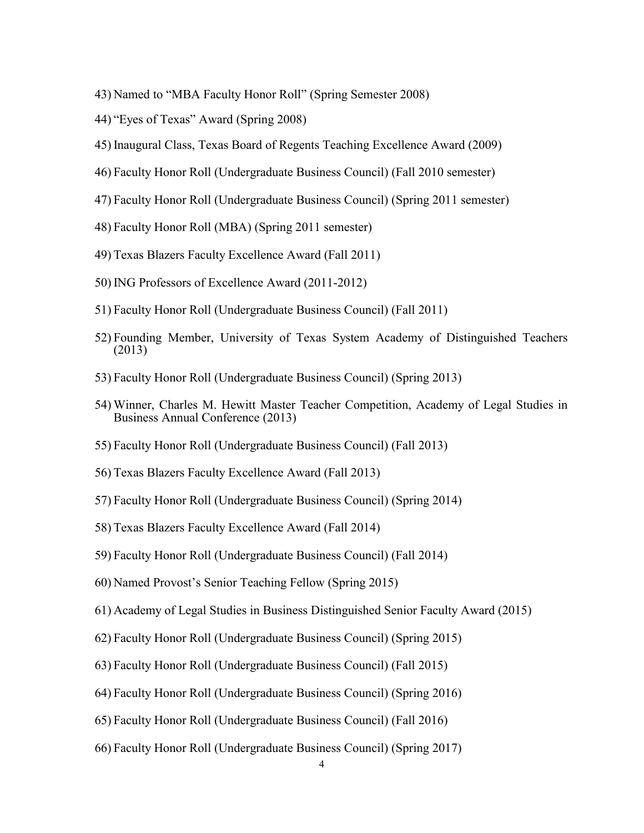- 43) Named to "MBA Faculty Honor Roll" (Spring Semester 2008)
- 44) "Eyes of Texas" Award (Spring 2008)
- 45) Inaugural Class, Texas Board of Regents Teaching Excellence Award (2009)
- 46) Faculty Honor Roll (Undergraduate Business Council) (Fall 2010 semester)
- 47) Faculty Honor Roll (Undergraduate Business Council) (Spring 2011 semester)
- 48) Faculty Honor Roll (MBA) (Spring 2011 semester)
- 49) Texas Blazers Faculty Excellence Award (Fall 2011)
- 50) ING Professors of Excellence Award (2011-2012)
- 51) Faculty Honor Roll (Undergraduate Business Council) (Fall 2011)
- 52) Founding Member, University of Texas System Academy of Distinguished Teachers (2013)
- 53) Faculty Honor Roll (Undergraduate Business Council) (Spring 2013)
- 54) Winner, Charles M. Hewitt Master Teacher Competition, Academy of Legal Studies in Business Annual Conference (2013)
- 55) Faculty Honor Roll (Undergraduate Business Council) (Fall 2013)
- 56) Texas Blazers Faculty Excellence Award (Fall 2013)
- 57) Faculty Honor Roll (Undergraduate Business Council) (Spring 2014)
- 58) Texas Blazers Faculty Excellence Award (Fall 2014)
- 59) Faculty Honor Roll (Undergraduate Business Council) (Fall 2014)
- 60) Named Provost's Senior Teaching Fellow (Spring 2015)
- 61) Academy of Legal Studies in Business Distinguished Senior Faculty Award (2015)
- 62) Faculty Honor Roll (Undergraduate Business Council) (Spring 2015)
- 63) Faculty Honor Roll (Undergraduate Business Council) (Fall 2015)
- 64) Faculty Honor Roll (Undergraduate Business Council) (Spring 2016)
- 65) Faculty Honor Roll (Undergraduate Business Council) (Fall 2016)
- 66) Faculty Honor Roll (Undergraduate Business Council) (Spring 2017)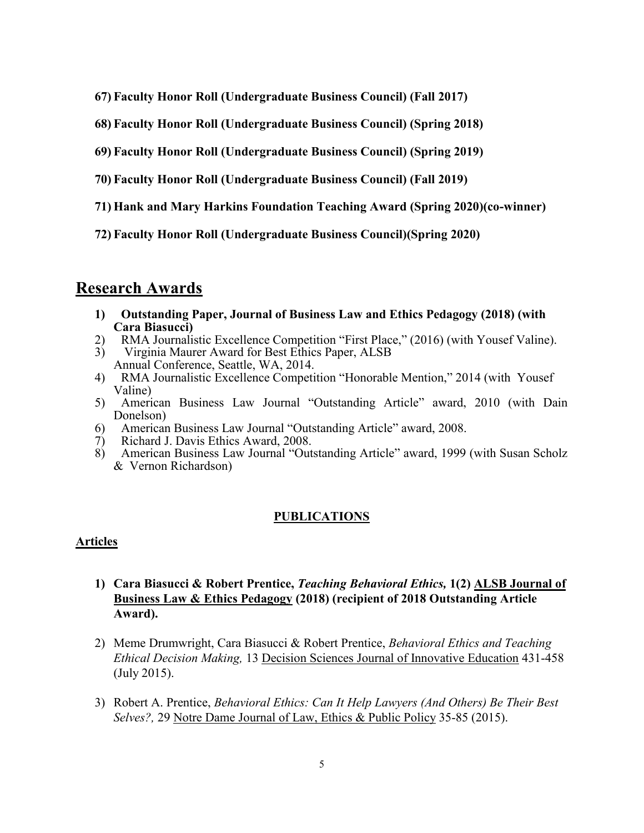- **67) Faculty Honor Roll (Undergraduate Business Council) (Fall 2017)**
- **68) Faculty Honor Roll (Undergraduate Business Council) (Spring 2018)**
- **69) Faculty Honor Roll (Undergraduate Business Council) (Spring 2019)**
- **70) Faculty Honor Roll (Undergraduate Business Council) (Fall 2019)**
- **71) Hank and Mary Harkins Foundation Teaching Award (Spring 2020)(co-winner)**
- **72) Faculty Honor Roll (Undergraduate Business Council)(Spring 2020)**

# **Research Awards**

- **1) Outstanding Paper, Journal of Business Law and Ethics Pedagogy (2018) (with Cara Biasucci)**
- 2) RMA Journalistic Excellence Competition "First Place," (2016) (with Yousef Valine).
- 3) Virginia Maurer Award for Best Ethics Paper, ALSB Annual Conference, Seattle, WA, 2014.
- 4) RMA Journalistic Excellence Competition "Honorable Mention," 2014 (with Yousef Valine)
- 5) American Business Law Journal "Outstanding Article" award, 2010 (with Dain Donelson)
- 6) American Business Law Journal "Outstanding Article" award, 2008.
- 7) Richard J. Davis Ethics Award, 2008.
- 8) American Business Law Journal "Outstanding Article" award, 1999 (with Susan Scholz & Vernon Richardson)

#### **PUBLICATIONS**

#### **Articles**

- **1) Cara Biasucci & Robert Prentice,** *Teaching Behavioral Ethics,* **1(2) ALSB Journal of Business Law & Ethics Pedagogy (2018) (recipient of 2018 Outstanding Article Award).**
- 2) Meme Drumwright, Cara Biasucci & Robert Prentice, *Behavioral Ethics and Teaching Ethical Decision Making,* 13 Decision Sciences Journal of Innovative Education 431-458 (July 2015).
- 3) Robert A. Prentice, *Behavioral Ethics: Can It Help Lawyers (And Others) Be Their Best Selves?,* 29 Notre Dame Journal of Law, Ethics & Public Policy 35-85 (2015).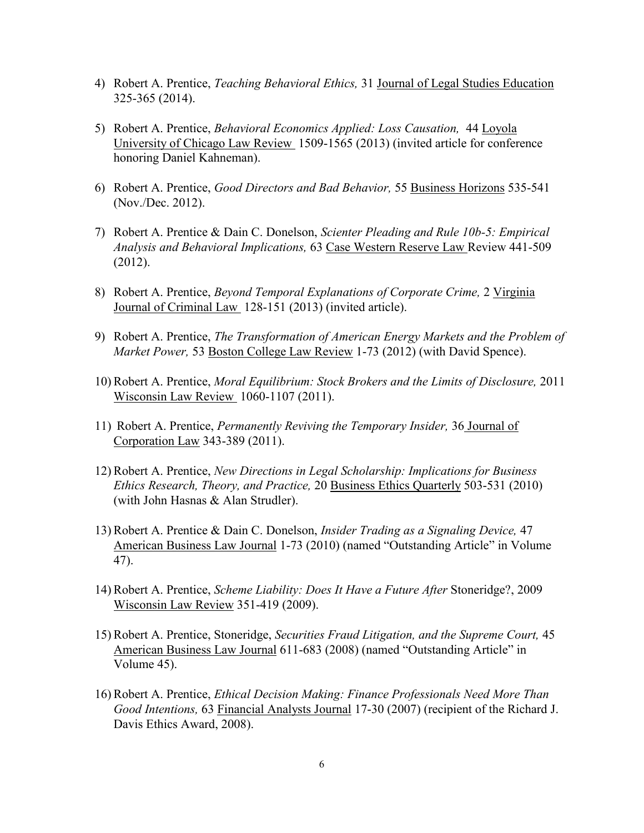- 4) Robert A. Prentice, *Teaching Behavioral Ethics,* 31 Journal of Legal Studies Education 325-365 (2014).
- 5) Robert A. Prentice, *Behavioral Economics Applied: Loss Causation,* 44 Loyola University of Chicago Law Review 1509-1565 (2013) (invited article for conference honoring Daniel Kahneman).
- 6) Robert A. Prentice, *Good Directors and Bad Behavior,* 55 Business Horizons 535-541 (Nov./Dec. 2012).
- 7) Robert A. Prentice & Dain C. Donelson, *Scienter Pleading and Rule 10b-5: Empirical Analysis and Behavioral Implications,* 63 Case Western Reserve Law Review 441-509 (2012).
- 8) Robert A. Prentice, *Beyond Temporal Explanations of Corporate Crime,* 2 Virginia Journal of Criminal Law 128-151 (2013) (invited article).
- 9) Robert A. Prentice, *The Transformation of American Energy Markets and the Problem of Market Power,* 53 Boston College Law Review 1-73 (2012) (with David Spence).
- 10)Robert A. Prentice, *Moral Equilibrium: Stock Brokers and the Limits of Disclosure,* 2011 Wisconsin Law Review 1060-1107 (2011).
- 11) Robert A. Prentice, *Permanently Reviving the Temporary Insider,* 36 Journal of Corporation Law 343-389 (2011).
- 12)Robert A. Prentice, *New Directions in Legal Scholarship: Implications for Business Ethics Research, Theory, and Practice,* 20 Business Ethics Quarterly 503-531 (2010) (with John Hasnas & Alan Strudler).
- 13)Robert A. Prentice & Dain C. Donelson, *Insider Trading as a Signaling Device,* 47 American Business Law Journal 1-73 (2010) (named "Outstanding Article" in Volume 47).
- 14)Robert A. Prentice, *Scheme Liability: Does It Have a Future After* Stoneridge?, 2009 Wisconsin Law Review 351-419 (2009).
- 15)Robert A. Prentice, Stoneridge, *Securities Fraud Litigation, and the Supreme Court,* 45 American Business Law Journal 611-683 (2008) (named "Outstanding Article" in Volume 45).
- 16)Robert A. Prentice, *Ethical Decision Making: Finance Professionals Need More Than Good Intentions,* 63 Financial Analysts Journal 17-30 (2007) (recipient of the Richard J. Davis Ethics Award, 2008).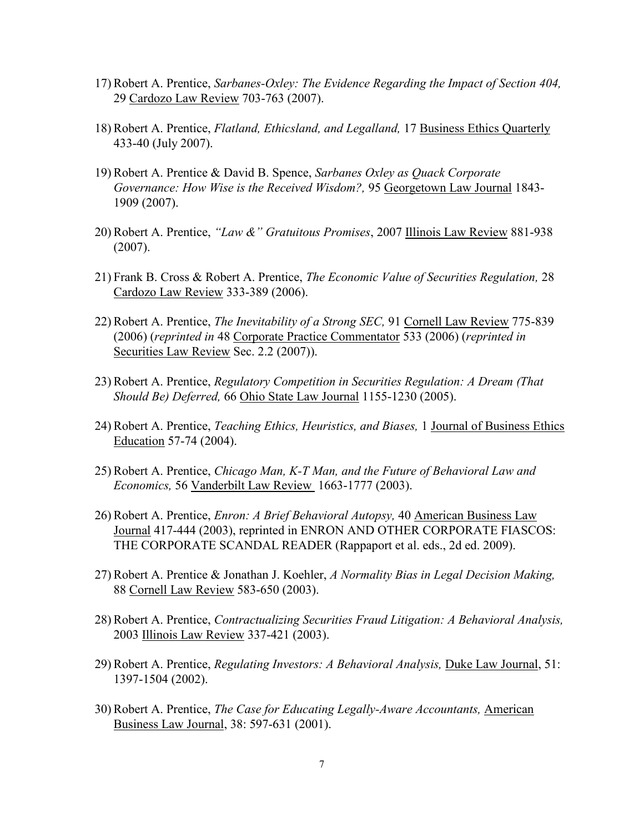- 17)Robert A. Prentice, *Sarbanes-Oxley: The Evidence Regarding the Impact of Section 404,* 29 Cardozo Law Review 703-763 (2007).
- 18)Robert A. Prentice, *Flatland, Ethicsland, and Legalland,* 17 Business Ethics Quarterly 433-40 (July 2007).
- 19)Robert A. Prentice & David B. Spence, *Sarbanes Oxley as Quack Corporate Governance: How Wise is the Received Wisdom?,* 95 Georgetown Law Journal 1843- 1909 (2007).
- 20) Robert A. Prentice, "Law &" Gratuitous Promises, 2007 Illinois Law Review 881-938 (2007).
- 21) Frank B. Cross & Robert A. Prentice, *The Economic Value of Securities Regulation,* 28 Cardozo Law Review 333-389 (2006).
- 22)Robert A. Prentice, *The Inevitability of a Strong SEC,* 91 Cornell Law Review 775-839 (2006) (*reprinted in* 48 Corporate Practice Commentator 533 (2006) (*reprinted in* Securities Law Review Sec. 2.2 (2007)).
- 23)Robert A. Prentice, *Regulatory Competition in Securities Regulation: A Dream (That Should Be) Deferred,* 66 Ohio State Law Journal 1155-1230 (2005).
- 24)Robert A. Prentice, *Teaching Ethics, Heuristics, and Biases,* 1 Journal of Business Ethics Education 57-74 (2004).
- 25)Robert A. Prentice, *Chicago Man, K-T Man, and the Future of Behavioral Law and Economics,* 56 Vanderbilt Law Review 1663-1777 (2003).
- 26)Robert A. Prentice, *Enron: A Brief Behavioral Autopsy,* 40 American Business Law Journal 417-444 (2003), reprinted in ENRON AND OTHER CORPORATE FIASCOS: THE CORPORATE SCANDAL READER (Rappaport et al. eds., 2d ed. 2009).
- 27)Robert A. Prentice & Jonathan J. Koehler, *A Normality Bias in Legal Decision Making,* 88 Cornell Law Review 583-650 (2003).
- 28)Robert A. Prentice, *Contractualizing Securities Fraud Litigation: A Behavioral Analysis,* 2003 Illinois Law Review 337-421 (2003).
- 29)Robert A. Prentice, *Regulating Investors: A Behavioral Analysis,* Duke Law Journal, 51: 1397-1504 (2002).
- 30)Robert A. Prentice, *The Case for Educating Legally-Aware Accountants,* American Business Law Journal, 38: 597-631 (2001).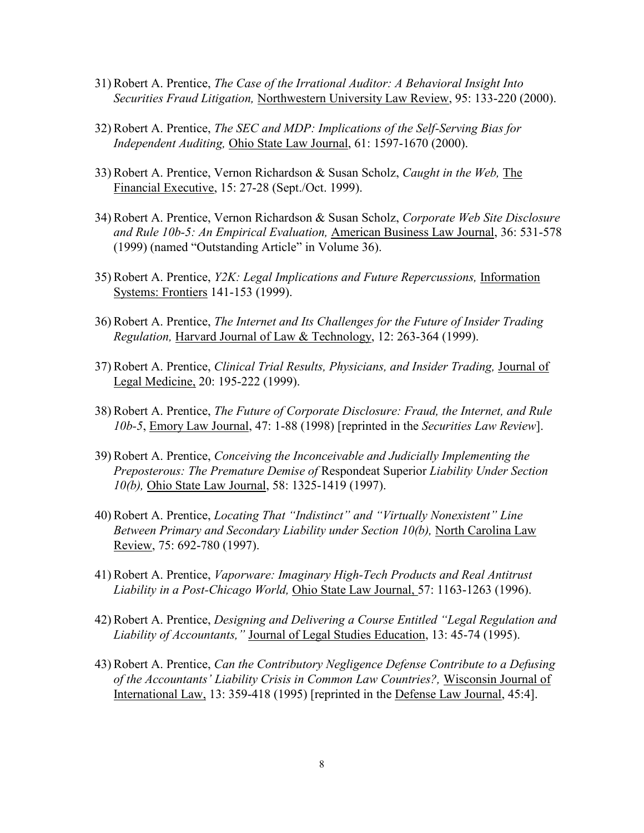- 31)Robert A. Prentice, *The Case of the Irrational Auditor: A Behavioral Insight Into Securities Fraud Litigation,* Northwestern University Law Review, 95: 133-220 (2000).
- 32)Robert A. Prentice, *The SEC and MDP: Implications of the Self-Serving Bias for Independent Auditing,* Ohio State Law Journal, 61: 1597-1670 (2000).
- 33)Robert A. Prentice, Vernon Richardson & Susan Scholz, *Caught in the Web,* The Financial Executive, 15: 27-28 (Sept./Oct. 1999).
- 34)Robert A. Prentice, Vernon Richardson & Susan Scholz, *Corporate Web Site Disclosure and Rule 10b-5: An Empirical Evaluation,* American Business Law Journal, 36: 531-578  $(1999)$  (named "Outstanding Article" in Volume 36).
- 35)Robert A. Prentice, *Y2K: Legal Implications and Future Repercussions,* Information Systems: Frontiers 141-153 (1999).
- 36)Robert A. Prentice, *The Internet and Its Challenges for the Future of Insider Trading Regulation,* Harvard Journal of Law & Technology, 12: 263-364 (1999).
- 37)Robert A. Prentice, *Clinical Trial Results, Physicians, and Insider Trading,* Journal of Legal Medicine, 20: 195-222 (1999).
- 38)Robert A. Prentice, *The Future of Corporate Disclosure: Fraud, the Internet, and Rule 10b-5*, Emory Law Journal, 47: 1-88 (1998) [reprinted in the *Securities Law Review*].
- 39)Robert A. Prentice, *Conceiving the Inconceivable and Judicially Implementing the Preposterous: The Premature Demise of* Respondeat Superior *Liability Under Section 10(b),* Ohio State Law Journal, 58: 1325-1419 (1997).
- 40) Robert A. Prentice, *Locating That "Indistinct" and "Virtually Nonexistent" Line Between Primary and Secondary Liability under Section 10(b),* North Carolina Law Review, 75: 692-780 (1997).
- 41)Robert A. Prentice, *Vaporware: Imaginary High-Tech Products and Real Antitrust Liability in a Post-Chicago World,* Ohio State Law Journal, 57: 1163-1263 (1996).
- 42) Robert A. Prentice, *Designing and Delivering a Course Entitled "Legal Regulation and Liability of Accountants,* " Journal of Legal Studies Education, 13: 45-74 (1995).
- 43)Robert A. Prentice, *Can the Contributory Negligence Defense Contribute to a Defusing of the Accountants' Liability Crisis in Common Law Countries?*, Wisconsin Journal of International Law, 13: 359-418 (1995) [reprinted in the Defense Law Journal, 45:4].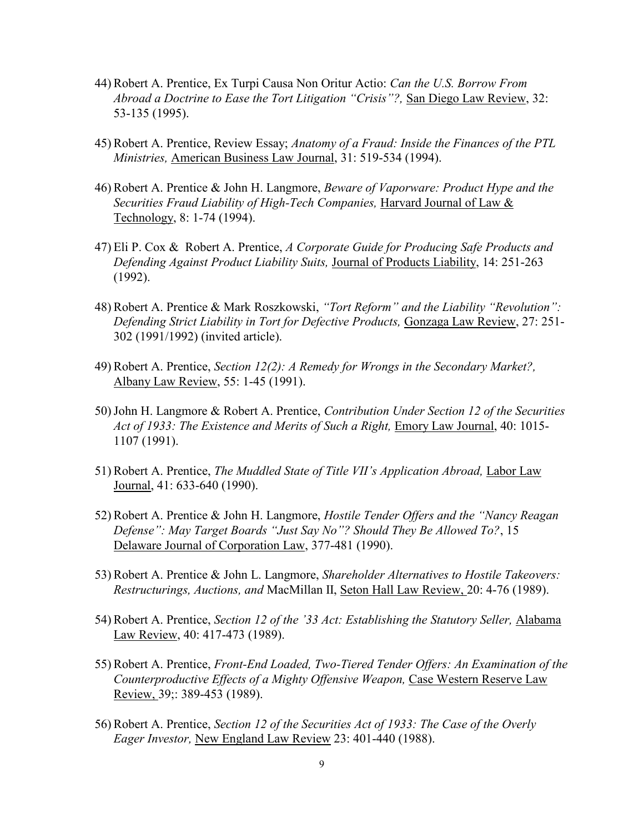- 44)Robert A. Prentice, Ex Turpi Causa Non Oritur Actio: *Can the U.S. Borrow From Abroad a Doctrine to Ease the Tort Litigation "Crisis"?, San Diego Law Review, 32:* 53-135 (1995).
- 45)Robert A. Prentice, Review Essay; *Anatomy of a Fraud: Inside the Finances of the PTL Ministries,* American Business Law Journal, 31: 519-534 (1994).
- 46)Robert A. Prentice & John H. Langmore, *Beware of Vaporware: Product Hype and the Securities Fraud Liability of High-Tech Companies,* Harvard Journal of Law & Technology, 8: 1-74 (1994).
- 47) Eli P. Cox & Robert A. Prentice, *A Corporate Guide for Producing Safe Products and Defending Against Product Liability Suits,* Journal of Products Liability, 14: 251-263 (1992).
- 48) Robert A. Prentice & Mark Roszkowski, "Tort Reform" and the Liability "Revolution": *Defending Strict Liability in Tort for Defective Products,* Gonzaga Law Review, 27: 251- 302 (1991/1992) (invited article).
- 49)Robert A. Prentice, *Section 12(2): A Remedy for Wrongs in the Secondary Market?,* Albany Law Review, 55: 1-45 (1991).
- 50)John H. Langmore & Robert A. Prentice, *Contribution Under Section 12 of the Securities Act of 1933: The Existence and Merits of Such a Right,* Emory Law Journal, 40: 1015- 1107 (1991).
- 51) Robert A. Prentice, *The Muddled State of Title VII's Application Abroad*, Labor Law Journal, 41: 633-640 (1990).
- 52) Robert A. Prentice & John H. Langmore, *Hostile Tender Offers and the "Nancy Reagan* Defense": May Target Boards "Just Say No"? Should They Be Allowed To?, 15 Delaware Journal of Corporation Law, 377-481 (1990).
- 53)Robert A. Prentice & John L. Langmore, *Shareholder Alternatives to Hostile Takeovers: Restructurings, Auctions, and* MacMillan II, Seton Hall Law Review, 20: 4-76 (1989).
- 54) Robert A. Prentice, *Section 12 of the '33 Act: Establishing the Statutory Seller*, *Alabama* Law Review, 40: 417-473 (1989).
- 55)Robert A. Prentice, *Front-End Loaded, Two-Tiered Tender Offers: An Examination of the Counterproductive Effects of a Mighty Offensive Weapon,* Case Western Reserve Law Review, 39;: 389-453 (1989).
- 56)Robert A. Prentice, *Section 12 of the Securities Act of 1933: The Case of the Overly Eager Investor,* New England Law Review 23: 401-440 (1988).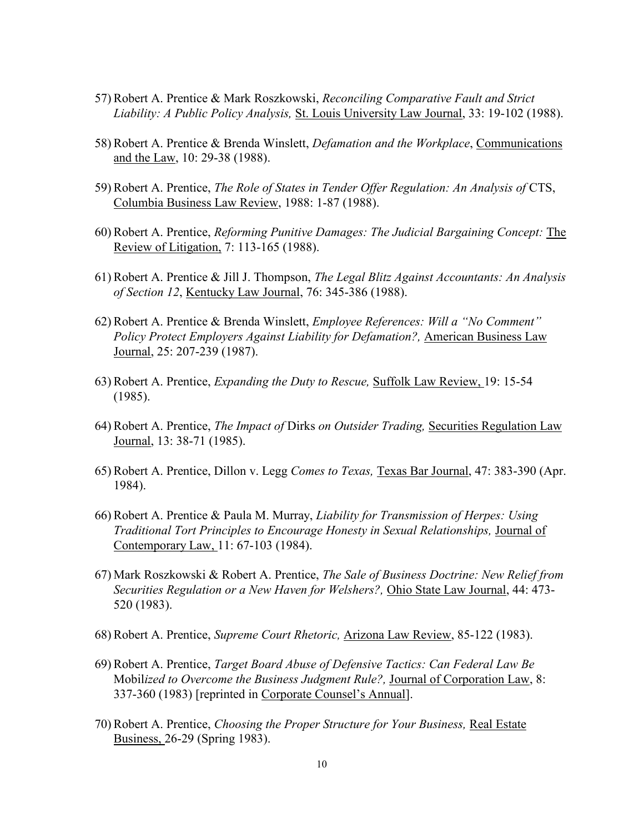- 57)Robert A. Prentice & Mark Roszkowski, *Reconciling Comparative Fault and Strict Liability: A Public Policy Analysis,* St. Louis University Law Journal, 33: 19-102 (1988).
- 58)Robert A. Prentice & Brenda Winslett, *Defamation and the Workplace*, Communications and the Law, 10: 29-38 (1988).
- 59)Robert A. Prentice, *The Role of States in Tender Offer Regulation: An Analysis of* CTS, Columbia Business Law Review, 1988: 1-87 (1988).
- 60)Robert A. Prentice, *Reforming Punitive Damages: The Judicial Bargaining Concept:* The Review of Litigation, 7: 113-165 (1988).
- 61)Robert A. Prentice & Jill J. Thompson, *The Legal Blitz Against Accountants: An Analysis of Section 12*, Kentucky Law Journal, 76: 345-386 (1988).
- 62) Robert A. Prentice & Brenda Winslett, *Employee References: Will a "No Comment" Policy Protect Employers Against Liability for Defamation?,* American Business Law Journal, 25: 207-239 (1987).
- 63)Robert A. Prentice, *Expanding the Duty to Rescue,* Suffolk Law Review, 19: 15-54 (1985).
- 64)Robert A. Prentice, *The Impact of* Dirks *on Outsider Trading,* Securities Regulation Law Journal, 13: 38-71 (1985).
- 65)Robert A. Prentice, Dillon v. Legg *Comes to Texas,* Texas Bar Journal, 47: 383-390 (Apr. 1984).
- 66)Robert A. Prentice & Paula M. Murray, *Liability for Transmission of Herpes: Using Traditional Tort Principles to Encourage Honesty in Sexual Relationships,* Journal of Contemporary Law, 11: 67-103 (1984).
- 67) Mark Roszkowski & Robert A. Prentice, *The Sale of Business Doctrine: New Relief from Securities Regulation or a New Haven for Welshers?,* Ohio State Law Journal, 44: 473- 520 (1983).
- 68)Robert A. Prentice, *Supreme Court Rhetoric,* Arizona Law Review, 85-122 (1983).
- 69)Robert A. Prentice, *Target Board Abuse of Defensive Tactics: Can Federal Law Be*  Mobil*ized to Overcome the Business Judgment Rule?,* Journal of Corporation Law, 8: 337-360 (1983) [reprinted in Corporate Counsel's Annual].
- 70)Robert A. Prentice, *Choosing the Proper Structure for Your Business,* Real Estate Business, 26-29 (Spring 1983).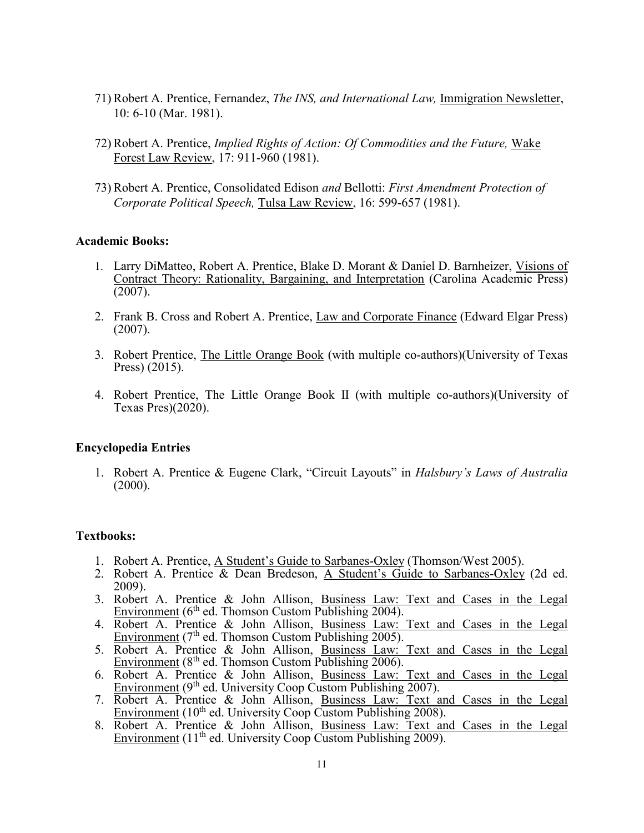- 71)Robert A. Prentice, Fernandez, *The INS, and International Law,* Immigration Newsletter, 10: 6-10 (Mar. 1981).
- 72)Robert A. Prentice, *Implied Rights of Action: Of Commodities and the Future,* Wake Forest Law Review, 17: 911-960 (1981).
- 73)Robert A. Prentice, Consolidated Edison *and* Bellotti: *First Amendment Protection of Corporate Political Speech,* Tulsa Law Review, 16: 599-657 (1981).

#### **Academic Books:**

- 1. Larry DiMatteo, Robert A. Prentice, Blake D. Morant & Daniel D. Barnheizer, Visions of Contract Theory: Rationality, Bargaining, and Interpretation (Carolina Academic Press) (2007).
- 2. Frank B. Cross and Robert A. Prentice, Law and Corporate Finance (Edward Elgar Press) (2007).
- 3. Robert Prentice, The Little Orange Book (with multiple co-authors)(University of Texas Press) (2015).
- 4. Robert Prentice, The Little Orange Book II (with multiple co-authors)(University of Texas Pres)(2020).

#### **Encyclopedia Entries**

1. Robert A. Prentice & Eugene Clark, "Circuit Layouts" in *Halsbury's Laws of Australia*  $(2000)$ .

#### **Textbooks:**

- 1. Robert A. Prentice, A Student's Guide to Sarbanes-Oxley (Thomson/West 2005).
- 2. Robert A. Prentice & Dean Bredeson, A Student's Guide to Sarbanes-Oxley (2d ed. 2009).
- 3. Robert A. Prentice & John Allison, Business Law: Text and Cases in the Legal Environment ( $6<sup>th</sup>$  ed. Thomson Custom Publishing 2004).
- 4. Robert A. Prentice & John Allison, Business Law: Text and Cases in the Legal Environment ( $7<sup>th</sup>$  ed. Thomson Custom Publishing 2005).
- 5. Robert A. Prentice & John Allison, Business Law: Text and Cases in the Legal Environment ( $8<sup>th</sup>$  ed. Thomson Custom Publishing 2006).
- 6. Robert A. Prentice & John Allison, Business Law: Text and Cases in the Legal Environment (9<sup>th</sup> ed. University Coop Custom Publishing 2007).
- 7. Robert A. Prentice & John Allison, Business Law: Text and Cases in the Legal Environment (10<sup>th</sup> ed. University Coop Custom Publishing 2008).
- 8. Robert A. Prentice & John Allison, Business Law: Text and Cases in the Legal Environment (11<sup>th</sup> ed. University Coop Custom Publishing 2009).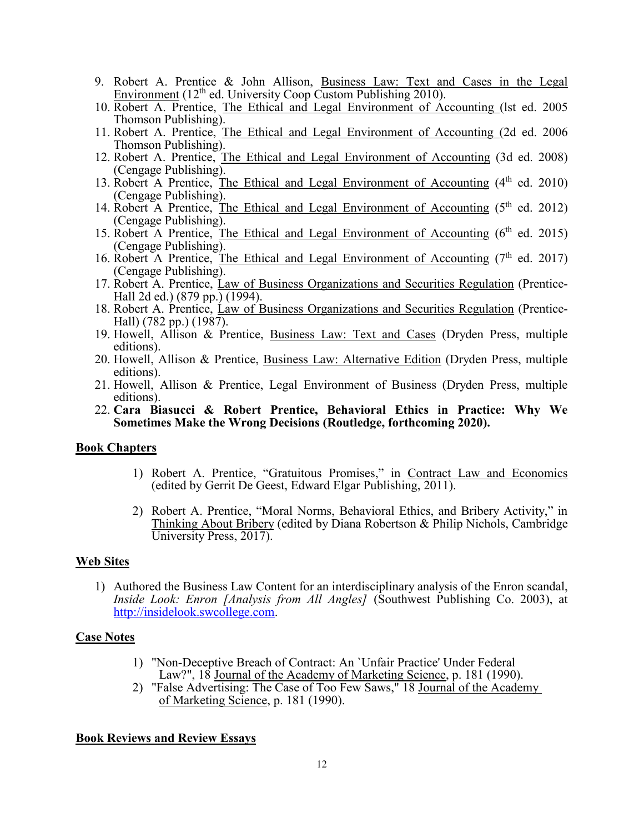- 9. Robert A. Prentice & John Allison, Business Law: Text and Cases in the Legal Environment (12<sup>th</sup> ed. University Coop Custom Publishing 2010).
- 10. Robert A. Prentice, The Ethical and Legal Environment of Accounting (lst ed. 2005 Thomson Publishing).
- 11. Robert A. Prentice, The Ethical and Legal Environment of Accounting (2d ed. 2006 Thomson Publishing).
- 12. Robert A. Prentice, The Ethical and Legal Environment of Accounting (3d ed. 2008) (Cengage Publishing).
- 13. Robert A Prentice, The Ethical and Legal Environment of Accounting  $(4<sup>th</sup>$  ed. 2010) (Cengage Publishing).
- 14. Robert A Prentice, The Ethical and Legal Environment of Accounting  $(5<sup>th</sup>$  ed. 2012) (Cengage Publishing).
- 15. Robert A Prentice, The Ethical and Legal Environment of Accounting ( $6<sup>th</sup>$  ed. 2015) (Cengage Publishing).
- 16. Robert A Prentice, The Ethical and Legal Environment of Accounting  $(7<sup>th</sup>$  ed. 2017) (Cengage Publishing).
- 17. Robert A. Prentice, Law of Business Organizations and Securities Regulation (Prentice-Hall 2d ed.) (879 pp.) (1994).
- 18. Robert A. Prentice, Law of Business Organizations and Securities Regulation (Prentice-Hall) (782 pp.) (1987).
- 19. Howell, Allison & Prentice, Business Law: Text and Cases (Dryden Press, multiple editions).
- 20. Howell, Allison & Prentice, Business Law: Alternative Edition (Dryden Press, multiple editions).
- 21. Howell, Allison & Prentice, Legal Environment of Business (Dryden Press, multiple editions).
- 22. **Cara Biasucci & Robert Prentice, Behavioral Ethics in Practice: Why We Sometimes Make the Wrong Decisions (Routledge, forthcoming 2020).**

## **Book Chapters**

- 1) Robert A. Prentice, "Gratuitous Promises," in Contract Law and Economics (edited by Gerrit De Geest, Edward Elgar Publishing, 2011).
- 2) Robert A. Prentice, "Moral Norms, Behavioral Ethics, and Bribery Activity," in Thinking About Bribery (edited by Diana Robertson & Philip Nichols, Cambridge University Press, 2017).

#### **Web Sites**

1) Authored the Business Law Content for an interdisciplinary analysis of the Enron scandal, *Inside Look: Enron [Analysis from All Angles]* (Southwest Publishing Co. 2003), at [http://insidelook.swcollege.com.](http://insidelook.swcollege.com/)

#### **Case Notes**

- 1) "Non-Deceptive Breach of Contract: An `Unfair Practice' Under Federal Law?", 18 Journal of the Academy of Marketing Science, p. 181 (1990).
- 2) "False Advertising: The Case of Too Few Saws," 18 Journal of the Academy of Marketing Science, p. 181 (1990).

#### **Book Reviews and Review Essays**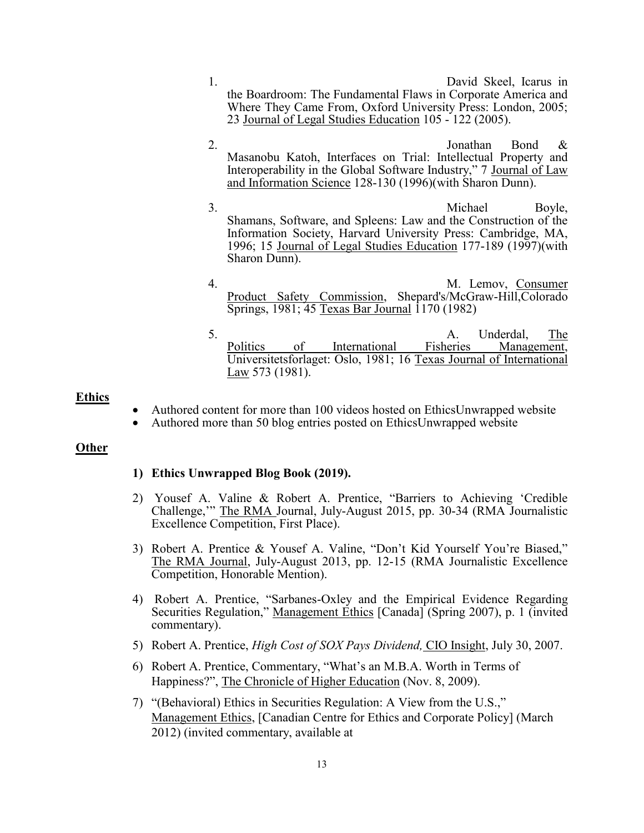- 1. David Skeel, Icarus in the Boardroom: The Fundamental Flaws in Corporate America and Where They Came From, Oxford University Press: London, 2005; 23 Journal of Legal Studies Education 105 - 122 (2005).
- 2. Jonathan Bond & Masanobu Katoh, Interfaces on Trial: Intellectual Property and Interoperability in the Global Software Industry," 7 Journal of Law and Information Science 128-130 (1996)(with Sharon Dunn).
- 3. Michael Boyle, Shamans, Software, and Spleens: Law and the Construction of the Information Society, Harvard University Press: Cambridge, MA, 1996; 15 Journal of Legal Studies Education 177-189 (1997)(with Sharon Dunn).
- 4. M. Lemov, Consumer Product Safety Commission, Shepard's/McGraw-Hill,Colorado Springs, 1981; 45 Texas Bar Journal 1170 (1982)
- 5. A. Underdal, The Politics of International Fisheries Management, Universitetsforlaget: Oslo, 1981; 16 Texas Journal of International  $Law 573 (1981).$ </u>

#### **Ethics**

- Authored content for more than 100 videos hosted on EthicsUnwrapped website
- Authored more than 50 blog entries posted on EthicsUnwrapped website

#### **Other**

#### **1) Ethics Unwrapped Blog Book (2019).**

- 2) Yousef A. Valine & Robert A. Prentice, "Barriers to Achieving 'Credible Challenge," The RMA Journal, July-August 2015, pp. 30-34 (RMA Journalistic Excellence Competition, First Place).
- 3) Robert A. Prentice & Yousef A. Valine, "Don't Kid Yourself You're Biased," The RMA Journal, July-August 2013, pp. 12-15 (RMA Journalistic Excellence Competition, Honorable Mention).
- 4) Robert A. Prentice, "Sarbanes-Oxley and the Empirical Evidence Regarding Securities Regulation," Management Ethics [Canada] (Spring 2007), p. 1 (invited commentary).
- 5) Robert A. Prentice, *High Cost of SOX Pays Dividend,* CIO Insight, July 30, 2007.
- 6) Robert A. Prentice, Commentary, "What's an M.B.A. Worth in Terms of Happiness?", The Chronicle of Higher Education (Nov. 8, 2009).
- 7) "(Behavioral) Ethics in Securities Regulation: A View from the U.S.," Management Ethics, [Canadian Centre for Ethics and Corporate Policy] (March 2012) (invited commentary, available at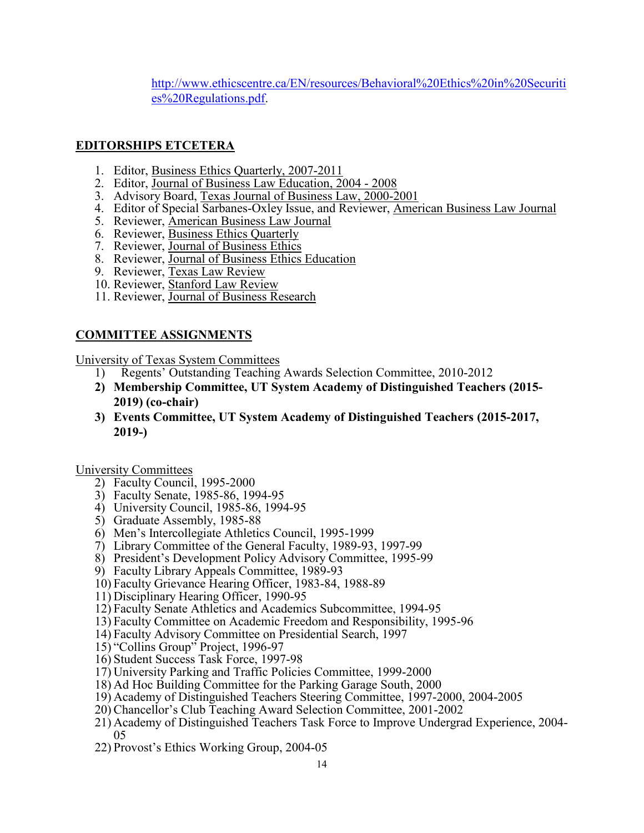[http://www.ethicscentre.ca/EN/resources/Behavioral%20Ethics%20in%20Securiti](http://www.ethicscentre.ca/EN/resources/Behavioral%20Ethics%20in%20Securities%20Regulations.pdf) [es%20Regulations.pdf.](http://www.ethicscentre.ca/EN/resources/Behavioral%20Ethics%20in%20Securities%20Regulations.pdf)

## **EDITORSHIPS ETCETERA**

- 1. Editor, Business Ethics Quarterly, 2007-2011
- 2. Editor, Journal of Business Law Education, 2004 2008
- 3. Advisory Board, Texas Journal of Business Law, 2000-2001
- 4. Editor of Special Sarbanes-Oxley Issue, and Reviewer, American Business Law Journal
- 5. Reviewer, American Business Law Journal
- 6. Reviewer, Business Ethics Quarterly
- 7. Reviewer, Journal of Business Ethics
- 8. Reviewer, Journal of Business Ethics Education
- 9. Reviewer, Texas Law Review
- 10. Reviewer, Stanford Law Review
- 11. Reviewer, Journal of Business Research

## **COMMITTEE ASSIGNMENTS**

University of Texas System Committees

- 1) Regents' Outstanding Teaching Awards Selection Committee, 2010-2012
- **2) Membership Committee, UT System Academy of Distinguished Teachers (2015- 2019) (co-chair)**
- **3) Events Committee, UT System Academy of Distinguished Teachers (2015-2017, 2019-)**

University Committees

- 2) Faculty Council, 1995-2000
- 3) Faculty Senate, 1985-86, 1994-95
- 4) University Council, 1985-86, 1994-95
- 5) Graduate Assembly, 1985-88
- $6)$  Men's Intercollegiate Athletics Council, 1995-1999
- 7) Library Committee of the General Faculty, 1989-93, 1997-99
- 8) President's Development Policy Advisory Committee, 1995-99
- 9) Faculty Library Appeals Committee, 1989-93
- 10) Faculty Grievance Hearing Officer, 1983-84, 1988-89
- 11) Disciplinary Hearing Officer, 1990-95
- 12) Faculty Senate Athletics and Academics Subcommittee, 1994-95
- 13) Faculty Committee on Academic Freedom and Responsibility, 1995-96
- 14) Faculty Advisory Committee on Presidential Search, 1997
- 15) "Collins Group" Project, 1996-97
- 16) Student Success Task Force, 1997-98
- 17) University Parking and Traffic Policies Committee, 1999-2000
- 18) Ad Hoc Building Committee for the Parking Garage South, 2000
- 19) Academy of Distinguished Teachers Steering Committee, 1997-2000, 2004-2005
- 20) Chancellor's Club Teaching Award Selection Committee, 2001-2002
- 21) Academy of Distinguished Teachers Task Force to Improve Undergrad Experience, 2004- <sup>05</sup>
- 22) Provost's Ethics Working Group, 2004-05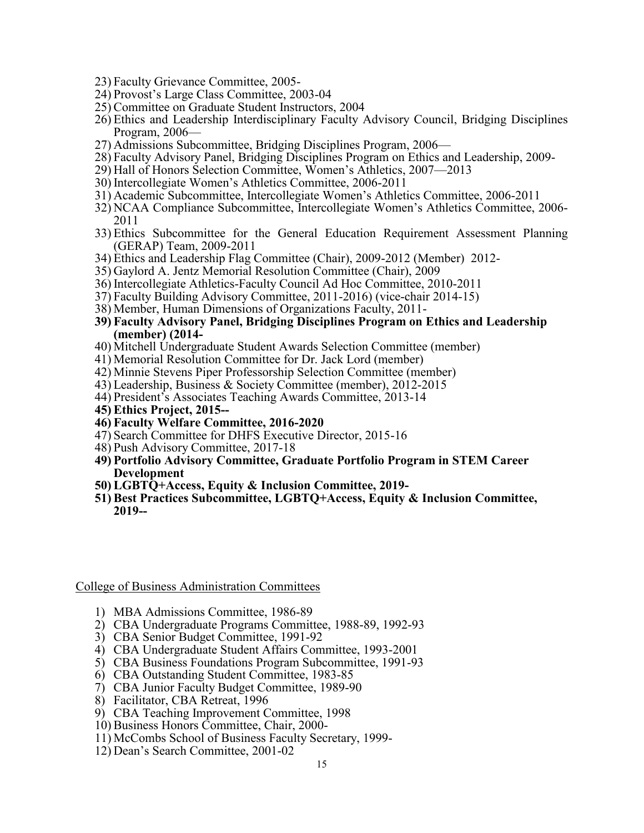- 23) Faculty Grievance Committee, 2005-
- 24) Provost's Large Class Committee, 2003-04
- 25)Committee on Graduate Student Instructors, 2004
- 26) Ethics and Leadership Interdisciplinary Faculty Advisory Council, Bridging Disciplines Program, 2006-
- 27) Admissions Subcommittee, Bridging Disciplines Program, 2006—
- 28) Faculty Advisory Panel, Bridging Disciplines Program on Ethics and Leadership, 2009-
- 29) Hall of Honors Selection Committee, Women's Athletics, 2007—2013
- 30) Intercollegiate Women's Athletics Committee, 2006-2011
- 31) Academic Subcommittee, Intercollegiate Women's Athletics Committee, 2006-2011
- 32) NCAA Compliance Subcommittee, Intercollegiate Women's Athletics Committee, 2006-2011
- 33) Ethics Subcommittee for the General Education Requirement Assessment Planning (GERAP) Team, 2009-2011
- 34) Ethics and Leadership Flag Committee (Chair), 2009-2012 (Member) 2012-
- 35) Gaylord A. Jentz Memorial Resolution Committee (Chair), 2009
- 36) Intercollegiate Athletics-Faculty Council Ad Hoc Committee, 2010-2011
- 37) Faculty Building Advisory Committee, 2011-2016) (vice-chair 2014-15)
- 38) Member, Human Dimensions of Organizations Faculty, 2011-
- **39) Faculty Advisory Panel, Bridging Disciplines Program on Ethics and Leadership (member) (2014-**
- 40) Mitchell Undergraduate Student Awards Selection Committee (member)
- 41) Memorial Resolution Committee for Dr. Jack Lord (member)
- 42) Minnie Stevens Piper Professorship Selection Committee (member)
- 43) Leadership, Business & Society Committee (member), 2012-2015
- 44) President's Associates Teaching Awards Committee, 2013-14
- **45)Ethics Project, 2015--**
- **46) Faculty Welfare Committee, 2016-2020**
- 47) Search Committee for DHFS Executive Director, 2015-16
- 48) Push Advisory Committee, 2017-18
- **49) Portfolio Advisory Committee, Graduate Portfolio Program in STEM Career Development**
- **50)LGBTQ+Access, Equity & Inclusion Committee, 2019-**
- **51)Best Practices Subcommittee, LGBTQ+Access, Equity & Inclusion Committee, 2019--**

#### College of Business Administration Committees

- 1) MBA Admissions Committee, 1986-89
- 2) CBA Undergraduate Programs Committee, 1988-89, 1992-93
- 3) CBA Senior Budget Committee, 1991-92
- 4) CBA Undergraduate Student Affairs Committee, 1993-2001
- 5) CBA Business Foundations Program Subcommittee, 1991-93
- 6) CBA Outstanding Student Committee, 1983-85
- 7) CBA Junior Faculty Budget Committee, 1989-90
- 8) Facilitator, CBA Retreat, 1996
- 9) CBA Teaching Improvement Committee, 1998<br>10) Business Honors Committee, Chair, 2000-
- 
- 11) McCombs School of Business Faculty Secretary, 1999-<br>12) Dean's Search Committee, 2001-02
-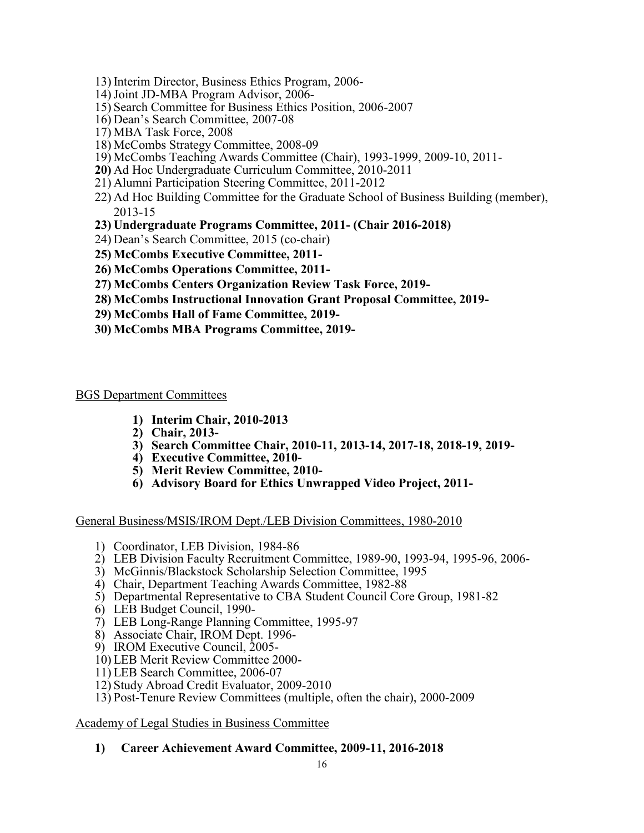- 13) Interim Director, Business Ethics Program, 2006-
- 14)Joint JD-MBA Program Advisor, 2006-
- 15) Search Committee for Business Ethics Position, 2006-2007
- 16) Dean's Search Committee, 2007-08
- 17) MBA Task Force, 2008
- 18) McCombs Strategy Committee, 2008-09
- 19) McCombs Teaching Awards Committee (Chair), 1993-1999, 2009-10, 2011-
- **20)** Ad Hoc Undergraduate Curriculum Committee, 2010-2011
- 21) Alumni Participation Steering Committee, 2011-2012
- 22) Ad Hoc Building Committee for the Graduate School of Business Building (member), 2013-15
- **23) Undergraduate Programs Committee, 2011- (Chair 2016-2018)**
- 24) Dean's Search Committee, 2015 (co-chair)
- **25) McCombs Executive Committee, 2011-**
- **26) McCombs Operations Committee, 2011-**
- **27) McCombs Centers Organization Review Task Force, 2019-**
- **28) McCombs Instructional Innovation Grant Proposal Committee, 2019-**
- **29) McCombs Hall of Fame Committee, 2019-**
- **30) McCombs MBA Programs Committee, 2019-**

#### BGS Department Committees

- **1) Interim Chair, 2010-2013**
- **2) Chair, 2013-**
- **3) Search Committee Chair, 2010-11, 2013-14, 2017-18, 2018-19, 2019-**
- **4) Executive Committee, 2010-**
- **5) Merit Review Committee, 2010-**
- **6) Advisory Board for Ethics Unwrapped Video Project, 2011-**

General Business/MSIS/IROM Dept./LEB Division Committees, 1980-2010

- 1) Coordinator, LEB Division, 1984-86
- 2) LEB Division Faculty Recruitment Committee, 1989-90, 1993-94, 1995-96, 2006-
- 3) McGinnis/Blackstock Scholarship Selection Committee, 1995
- 4) Chair, Department Teaching Awards Committee, 1982-88
- 5) Departmental Representative to CBA Student Council Core Group, 1981-82
- 6) LEB Budget Council, 1990-
- 7) LEB Long-Range Planning Committee, 1995-97
- 8) Associate Chair, IROM Dept. 1996-
- 9) IROM Executive Council, 2005-
- 10) LEB Merit Review Committee 2000-
- 11) LEB Search Committee, 2006-07
- 12) Study Abroad Credit Evaluator, 2009-2010
- 13) Post-Tenure Review Committees (multiple, often the chair), 2000-2009

Academy of Legal Studies in Business Committee

## **1) Career Achievement Award Committee, 2009-11, 2016-2018**